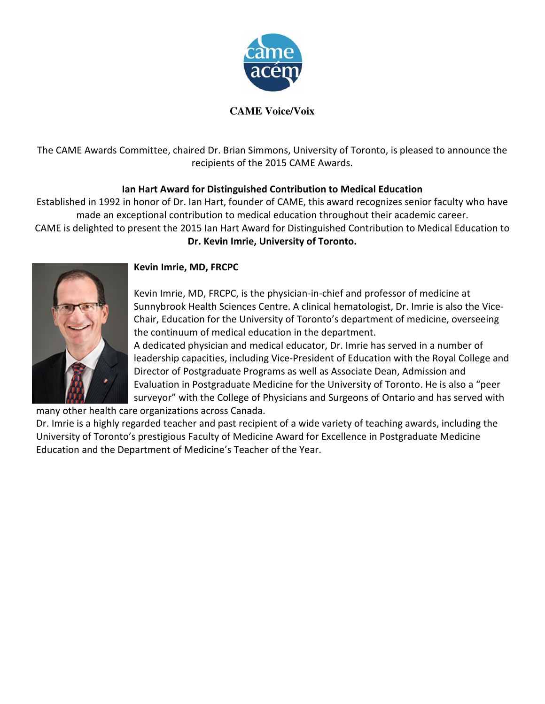

## **CAME Voice/Voix**

The CAME Awards Committee, chaired Dr. Brian Simmons, University of Toronto, is pleased to announce the recipients of the 2015 CAME Awards.

# Ian Hart Award for Distinguished Contribution to Medical Education

Established in 1992 in honor of Dr. Ian Hart, founder of CAME, this award recognizes senior faculty who have made an exceptional contribution to medical education throughout their academic career.

CAME is delighted to present the 2015 Ian Hart Award for Distinguished Contribution to Medical Education to Dr. Kevin Imrie, University of Toronto.



# Kevin Imrie, MD, FRCPC

Kevin Imrie, MD, FRCPC, is the physician-in-chief and professor of medicine at Sunnybrook Health Sciences Centre. A clinical hematologist, Dr. Imrie is also the Vice-Chair, Education for the University of Toronto's department of medicine, overseeing the continuum of medical education in the department.

A dedicated physician and medical educator, Dr. Imrie has served in a number of leadership capacities, including Vice-President of Education with the Royal College and Director of Postgraduate Programs as well as Associate Dean, Admission and Evaluation in Postgraduate Medicine for the University of Toronto. He is also a "peer surveyor" with the College of Physicians and Surgeons of Ontario and has served with

many other health care organizations across Canada.

Dr. Imrie is a highly regarded teacher and past recipient of a wide variety of teaching awards, including the University of Toronto's prestigious Faculty of Medicine Award for Excellence in Postgraduate Medicine Education and the Department of Medicine's Teacher of the Year.